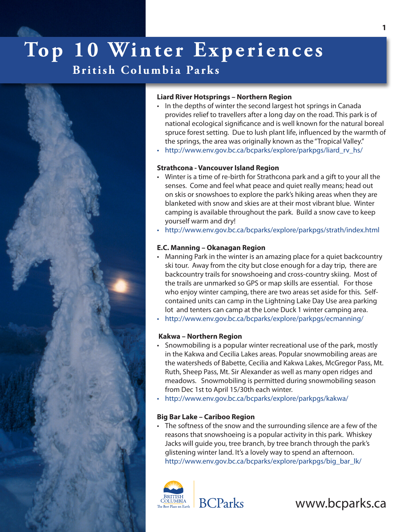# Top 10 Winter Experiences

### **British Columbia Parks**



### **Liard River Hotsprings – Northern Region**

- In the depths of winter the second largest hot springs in Canada provides relief to travellers after a long day on the road. This park is of national ecological significance and is well known for the natural boreal spruce forest setting. Due to lush plant life, influenced by the warmth of the springs, the area was originally known as the "Tropical Valley."
- [http://www.env.gov.bc.ca/bcparks/explore/parkpgs/liard\\_rv\\_hs/](http://www.env.gov.bc.ca/bcparks/explore/parkpgs/liard_rv_hs/)

### **Strathcona - Vancouver Island Region**

- • Winter is a time of re-birth for Strathcona park and a gift to your all the senses. Come and feel what peace and quiet really means; head out on skis or snowshoes to explore the park's hiking areas when they are blanketed with snow and skies are at their most vibrant blue. Winter camping is available throughout the park. Build a snow cave to keep yourself warm and dry!
- [http://www.env.gov.bc.ca/bcparks/explore/parkpgs/strath/index.htm](http://www.env.gov.bc.ca/bcparks/explore/parkpgs/strath/index.html%E2%80%A2)l

### **E.C. Manning – Okanagan Region**

- Manning Park in the winter is an amazing place for a quiet backcountry ski tour. Away from the city but close enough for a day trip, there are backcountry trails for snowshoeing and cross-country skiing. Most of the trails are unmarked so GPS or map skills are essential. For those who enjoy winter camping, there are two areas set aside for this. Selfcontained units can camp in the Lightning Lake Day Use area parking lot and tenters can camp at the Lone Duck 1 winter camping area.
- [http://www.env.gov.bc.ca/bcparks/explore/parkpgs/ecm](http://www.env.gov.bc.ca/bcparks/explore/parkpgs/ecmanning/%E2%80%A2)anning/

### **Kakwa – Northern Region**

- Snowmobiling is a popular winter recreational use of the park, mostly in the Kakwa and Cecilia Lakes areas. Popular snowmobiling areas are the watersheds of Babette, Cecilia and Kakwa Lakes, McGregor Pass, Mt. Ruth, Sheep Pass, Mt. Sir Alexander as well as many open ridges and meadows. Snowmobiling is permitted during snowmobiling season from Dec 1st to April 15/30th each winter.
- [http://www.env.gov.bc.ca/bcparks/explore/parkpgs/kak](http://www.env.gov.bc.ca/bcparks/explore/parkpgs/kakwa/%E2%80%A2)wa/

### **Big Bar Lake – Cariboo Region**

• The softness of the snow and the surrounding silence are a few of the reasons that snowshoeing is a popular activity in this park. Whiskey Jacks will guide you, tree branch, by tree branch through the park's glistening winter land. It's a lovely way to spend an afternoon. [http://www.env.gov.bc.ca/bcparks/explore/parkpgs/big\\_bar\\_lk/](http://www.env.gov.bc.ca/bcparks/explore/parkpgs/big_bar_lk/)